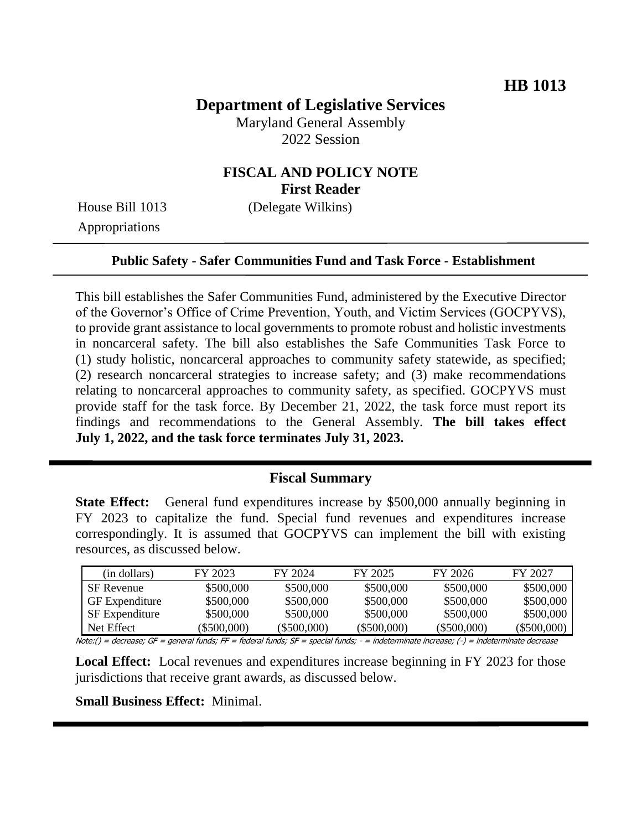## **Department of Legislative Services**

Maryland General Assembly 2022 Session

### **FISCAL AND POLICY NOTE First Reader**

Appropriations

House Bill 1013 (Delegate Wilkins)

#### **Public Safety - Safer Communities Fund and Task Force - Establishment**

This bill establishes the Safer Communities Fund, administered by the Executive Director of the Governor's Office of Crime Prevention, Youth, and Victim Services (GOCPYVS), to provide grant assistance to local governments to promote robust and holistic investments in noncarceral safety. The bill also establishes the Safe Communities Task Force to (1) study holistic, noncarceral approaches to community safety statewide, as specified; (2) research noncarceral strategies to increase safety; and (3) make recommendations relating to noncarceral approaches to community safety, as specified. GOCPYVS must provide staff for the task force. By December 21, 2022, the task force must report its findings and recommendations to the General Assembly. **The bill takes effect July 1, 2022, and the task force terminates July 31, 2023.**

#### **Fiscal Summary**

**State Effect:** General fund expenditures increase by \$500,000 annually beginning in FY 2023 to capitalize the fund. Special fund revenues and expenditures increase correspondingly. It is assumed that GOCPYVS can implement the bill with existing resources, as discussed below.

| (in dollars)          | FY 2023     | FY 2024     | FY 2025     | FY 2026        | FY 2027     |
|-----------------------|-------------|-------------|-------------|----------------|-------------|
| <b>SF</b> Revenue     | \$500,000   | \$500,000   | \$500,000   | \$500,000      | \$500,000   |
| <b>GF</b> Expenditure | \$500,000   | \$500,000   | \$500,000   | \$500,000      | \$500,000   |
| <b>SF</b> Expenditure | \$500,000   | \$500,000   | \$500,000   | \$500,000      | \$500,000   |
| Net Effect            | (\$500.000) | (\$500.000) | (\$500.000) | $($ \$500,000) | (\$500.000) |

Note:() = decrease; GF = general funds; FF = federal funds; SF = special funds; - = indeterminate increase; (-) = indeterminate decrease

**Local Effect:** Local revenues and expenditures increase beginning in FY 2023 for those jurisdictions that receive grant awards, as discussed below.

**Small Business Effect:** Minimal.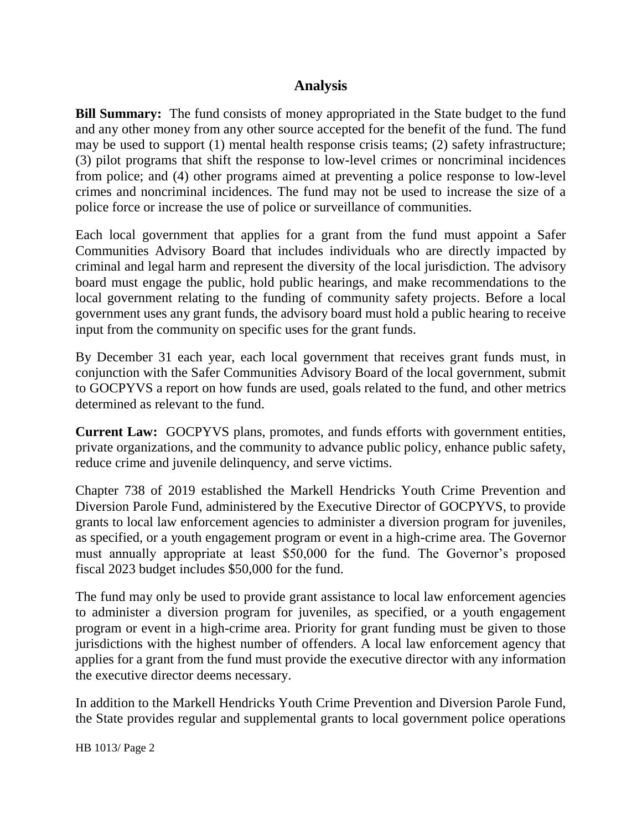### **Analysis**

**Bill Summary:** The fund consists of money appropriated in the State budget to the fund and any other money from any other source accepted for the benefit of the fund. The fund may be used to support (1) mental health response crisis teams; (2) safety infrastructure; (3) pilot programs that shift the response to low-level crimes or noncriminal incidences from police; and (4) other programs aimed at preventing a police response to low-level crimes and noncriminal incidences. The fund may not be used to increase the size of a police force or increase the use of police or surveillance of communities.

Each local government that applies for a grant from the fund must appoint a Safer Communities Advisory Board that includes individuals who are directly impacted by criminal and legal harm and represent the diversity of the local jurisdiction. The advisory board must engage the public, hold public hearings, and make recommendations to the local government relating to the funding of community safety projects. Before a local government uses any grant funds, the advisory board must hold a public hearing to receive input from the community on specific uses for the grant funds.

By December 31 each year, each local government that receives grant funds must, in conjunction with the Safer Communities Advisory Board of the local government, submit to GOCPYVS a report on how funds are used, goals related to the fund, and other metrics determined as relevant to the fund.

**Current Law:** GOCPYVS plans, promotes, and funds efforts with government entities, private organizations, and the community to advance public policy, enhance public safety, reduce crime and juvenile delinquency, and serve victims.

Chapter 738 of 2019 established the Markell Hendricks Youth Crime Prevention and Diversion Parole Fund, administered by the Executive Director of GOCPYVS, to provide grants to local law enforcement agencies to administer a diversion program for juveniles, as specified, or a youth engagement program or event in a high-crime area. The Governor must annually appropriate at least \$50,000 for the fund. The Governor's proposed fiscal 2023 budget includes \$50,000 for the fund.

The fund may only be used to provide grant assistance to local law enforcement agencies to administer a diversion program for juveniles, as specified, or a youth engagement program or event in a high-crime area. Priority for grant funding must be given to those jurisdictions with the highest number of offenders. A local law enforcement agency that applies for a grant from the fund must provide the executive director with any information the executive director deems necessary.

In addition to the Markell Hendricks Youth Crime Prevention and Diversion Parole Fund, the State provides regular and supplemental grants to local government police operations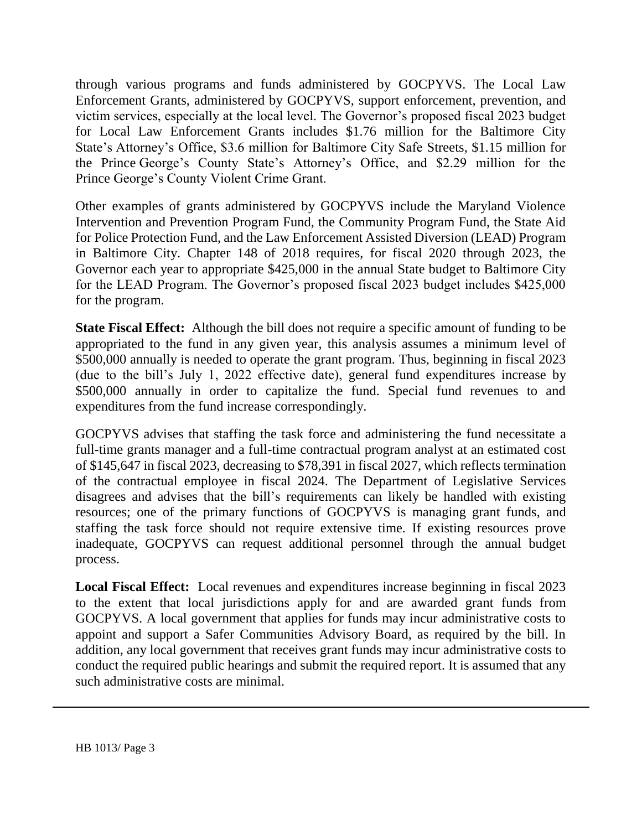through various programs and funds administered by GOCPYVS. The Local Law Enforcement Grants, administered by GOCPYVS, support enforcement, prevention, and victim services, especially at the local level. The Governor's proposed fiscal 2023 budget for Local Law Enforcement Grants includes \$1.76 million for the Baltimore City State's Attorney's Office, \$3.6 million for Baltimore City Safe Streets, \$1.15 million for the Prince George's County State's Attorney's Office, and \$2.29 million for the Prince George's County Violent Crime Grant.

Other examples of grants administered by GOCPYVS include the Maryland Violence Intervention and Prevention Program Fund, the Community Program Fund, the State Aid for Police Protection Fund, and the Law Enforcement Assisted Diversion (LEAD) Program in Baltimore City. Chapter 148 of 2018 requires, for fiscal 2020 through 2023, the Governor each year to appropriate \$425,000 in the annual State budget to Baltimore City for the LEAD Program. The Governor's proposed fiscal 2023 budget includes \$425,000 for the program.

**State Fiscal Effect:** Although the bill does not require a specific amount of funding to be appropriated to the fund in any given year, this analysis assumes a minimum level of \$500,000 annually is needed to operate the grant program. Thus, beginning in fiscal 2023 (due to the bill's July 1, 2022 effective date), general fund expenditures increase by \$500,000 annually in order to capitalize the fund. Special fund revenues to and expenditures from the fund increase correspondingly.

GOCPYVS advises that staffing the task force and administering the fund necessitate a full-time grants manager and a full-time contractual program analyst at an estimated cost of \$145,647 in fiscal 2023, decreasing to \$78,391 in fiscal 2027, which reflects termination of the contractual employee in fiscal 2024. The Department of Legislative Services disagrees and advises that the bill's requirements can likely be handled with existing resources; one of the primary functions of GOCPYVS is managing grant funds, and staffing the task force should not require extensive time. If existing resources prove inadequate, GOCPYVS can request additional personnel through the annual budget process.

**Local Fiscal Effect:** Local revenues and expenditures increase beginning in fiscal 2023 to the extent that local jurisdictions apply for and are awarded grant funds from GOCPYVS. A local government that applies for funds may incur administrative costs to appoint and support a Safer Communities Advisory Board, as required by the bill. In addition, any local government that receives grant funds may incur administrative costs to conduct the required public hearings and submit the required report. It is assumed that any such administrative costs are minimal.